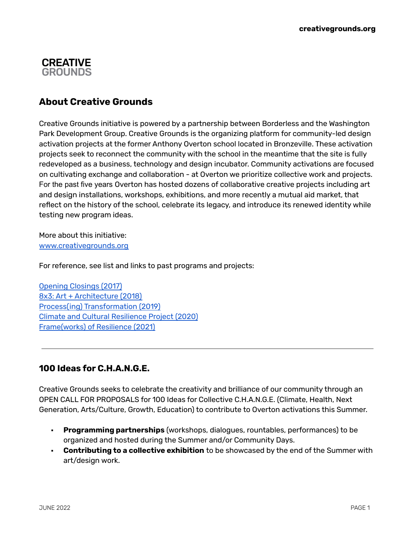## **CREATIVE GROUNDS**

# **About Creative Grounds**

Creative Grounds initiative is powered by a partnership between Borderless and the Washington Park Development Group. Creative Grounds is the organizing platform for community-led design activation projects at the former Anthony Overton school located in Bronzeville. These activation projects seek to reconnect the community with the school in the meantime that the site is fully redeveloped as a business, technology and design incubator. Community activations are focused on cultivating exchange and collaboration - at Overton we prioritize collective work and projects. For the past five years Overton has hosted dozens of collaborative creative projects including art and design installations, workshops, exhibitions, and more recently a mutual aid market, that reflect on the history of the school, celebrate its legacy, and introduce its renewed identity while testing new program ideas.

More about this initiative: [www.creativegrounds.org](http://www.creativegrounds.org)

For reference, see list and links to past programs and projects:

Opening [Closings](https://www.creativegrounds.org/single-post/2018/03/10/Creative-Grounds-Anthony-Overton-Full) (2017) 8x3: Art + [Architecture](https://www.creativegrounds.org/8x3) (2018) Process(ing) [Transformation](https://www.creativegrounds.org/processing-transformation) (2019) Climate and Cultural [Resilience](https://www.creativegrounds.org/climate-and-cultural-resilience) Project (2020) [Frame\(works\)](https://www.creativegrounds.org/frameworks-of-resilience) of Resilience (2021)

# **100 Ideas for C.H.A.N.G.E.**

Creative Grounds seeks to celebrate the creativity and brilliance of our community through an OPEN CALL FOR PROPOSALS for 100 Ideas for Collective C.H.A.N.G.E. (Climate, Health, Next Generation, Arts/Culture, Growth, Education) to contribute to Overton activations this Summer.

- ⬝ **Programming partnerships** (workshops, dialogues, rountables, performances) to be organized and hosted during the Summer and/or Community Days.
- ⬝ **Contributing to a collective exhibition** to be showcased by the end of the Summer with art/design work.